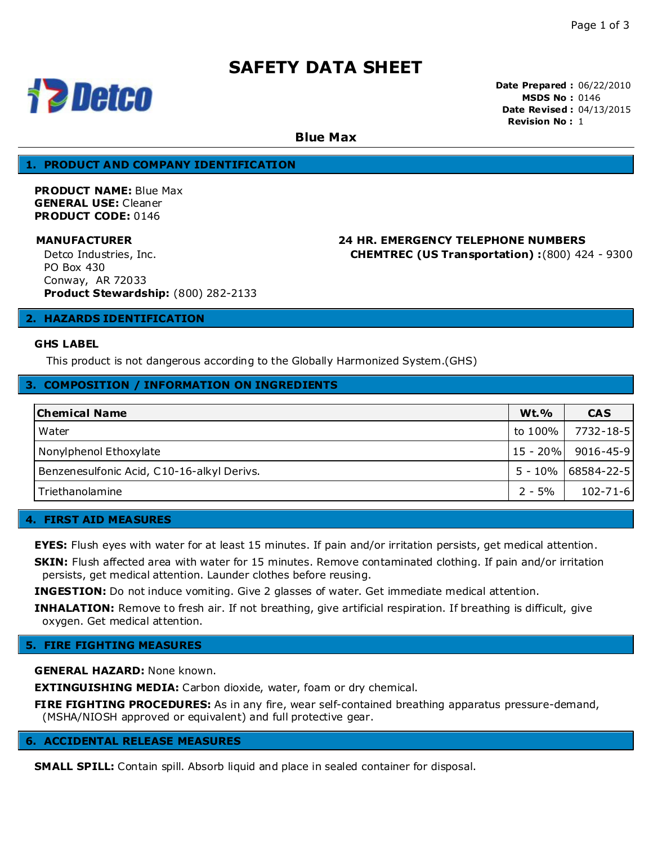# **SAFETY DATA SHEET**



**Date Prepared :** 06/22/2010 **MSDS No :** 0146 **Date Revised :** 04/13/2015 **Revision No :** 1

**Blue Max**

# **1. PRODUCT AND COMPANY IDENTIFICATION**

**PRODUCT NAME:** Blue Max **GENERAL USE:** Cleaner **PRODUCT CODE:** 0146

**MANUFACTURER 24 HR. EMERGENCY TELEPHONE NUMBERS CHEMTREC (US Transportation) :**(800) 424 - 9300

Detco Industries, Inc. PO Box 430 Conway, AR 72033 **Product Stewardship:** (800) 282-2133

## **2. HAZARDS IDENTIFICATION**

### **GHS LABEL**

This product is not dangerous according to the Globally Harmonized System.(GHS)

# **3. COMPOSITION / INFORMATION ON INGREDIENTS**

| <b>Chemical Name</b>                       | $Wt.$ %   | <b>CAS</b>           |
|--------------------------------------------|-----------|----------------------|
| Water                                      | to 100% l | 7732-18-5            |
| Nonylphenol Ethoxylate                     |           | 15 - 20%  9016-45-9  |
| Benzenesulfonic Acid, C10-16-alkyl Derivs. |           | 5 - 10%   68584-22-5 |
| Triethanolamine                            | $2 - 5%$  | $102 - 71 - 6$       |

# **4. FIRST AID MEASURES**

**EYES:** Flush eyes with water for at least 15 minutes. If pain and/or irritation persists, get medical attention.

**SKIN:** Flush affected area with water for 15 minutes. Remove contaminated clothing. If pain and/or irritation persists, get medical attention. Launder clothes before reusing.

**INGESTION:** Do not induce vomiting. Give 2 glasses of water. Get immediate medical attention.

**INHALATION:** Remove to fresh air. If not breathing, give artificial respiration. If breathing is difficult, give oxygen. Get medical attention.

# **5. FIRE FIGHTING MEASURES**

**GENERAL HAZARD:** None known.

**EXTINGUISHING MEDIA:** Carbon dioxide, water, foam or dry chemical.

**FIRE FIGHTING PROCEDURES:** As in any fire, wear self-contained breathing apparatus pressure-demand, (MSHA/NIOSH approved or equivalent) and full protective gear.

## **6. ACCIDENTAL RELEASE MEASURES**

**SMALL SPILL:** Contain spill. Absorb liquid and place in sealed container for disposal.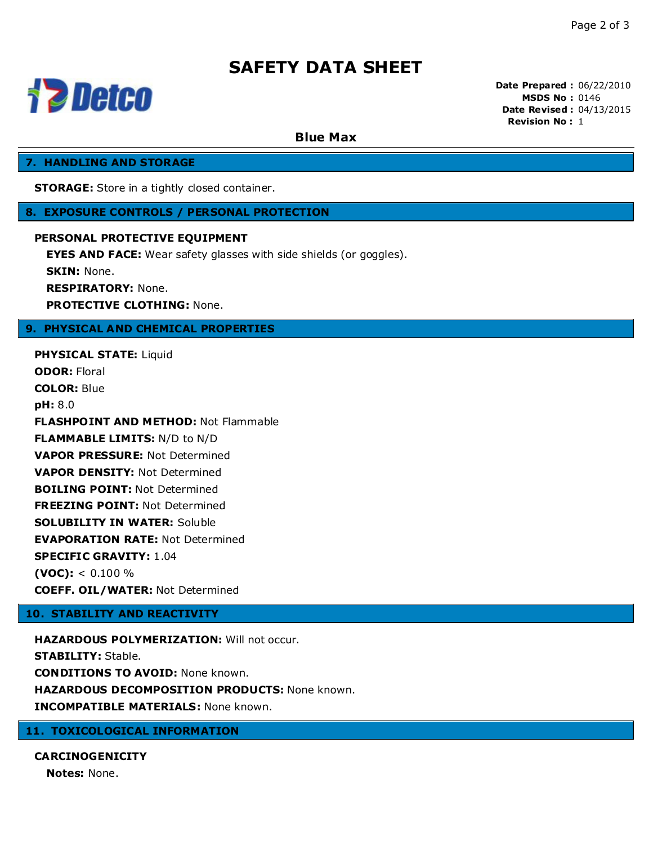# **SAFETY DATA SHEET**



**Date Prepared :** 06/22/2010 **MSDS No :** 0146 **Date Revised :** 04/13/2015 **Revision No :** 1

**Blue Max**

# **7. HANDLING AND STORAGE**

**STORAGE:** Store in a tightly closed container.

# **8. EXPOSURE CONTROLS / PERSONAL PROTECTION**

## **PERSONAL PROTECTIVE EQUIPMENT**

**EYES AND FACE:** Wear safety glasses with side shields (or goggles). **SKIN:** None. **RESPIRATORY:** None. **PROTECTIVE CLOTHING:** None.

# **9. PHYSICAL AND CHEMICAL PROPERTIES**

**PHYSICAL STATE:** Liquid **ODOR:** Floral **COLOR:** Blue **pH:** 8.0 **FLASHPOINT AND METHOD:** Not Flammable **FLAMMABLE LIMITS:** N/D to N/D **VAPOR PRESSURE:** Not Determined **VAPOR DENSITY:** Not Determined **BOILING POINT:** Not Determined **FREEZING POINT:** Not Determined **SOLUBILITY IN WATER:** Soluble **EVAPORATION RATE:** Not Determined **SPECIFIC GRAVITY:** 1.04  $(VOC):$  < 0.100 % **COEFF. OIL/WATER:** Not Determined

# **10. STABILITY AND REACTIVITY**

**HAZARDOUS POLYMERIZATION:** Will not occur. **STABILITY:** Stable. **CONDITIONS TO AVOID:** None known. **HAZARDOUS DECOMPOSITION PRODUCTS:** None known. **INCOMPATIBLE MATERIALS:** None known.

# **11. TOXICOLOGICAL INFORMATION**

**CARCINOGENICITY Notes:** None.